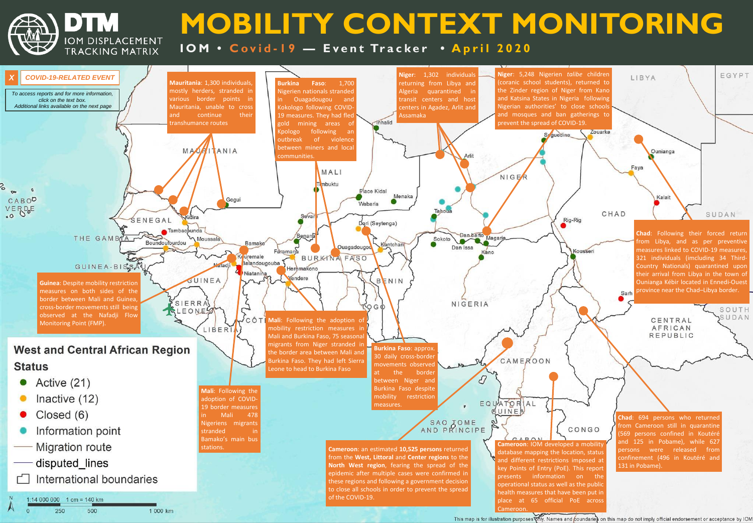DTM

# **MOBILITY CONTEXT MONITORING 10M • Covid-19 - Event Tracker • April 2020**